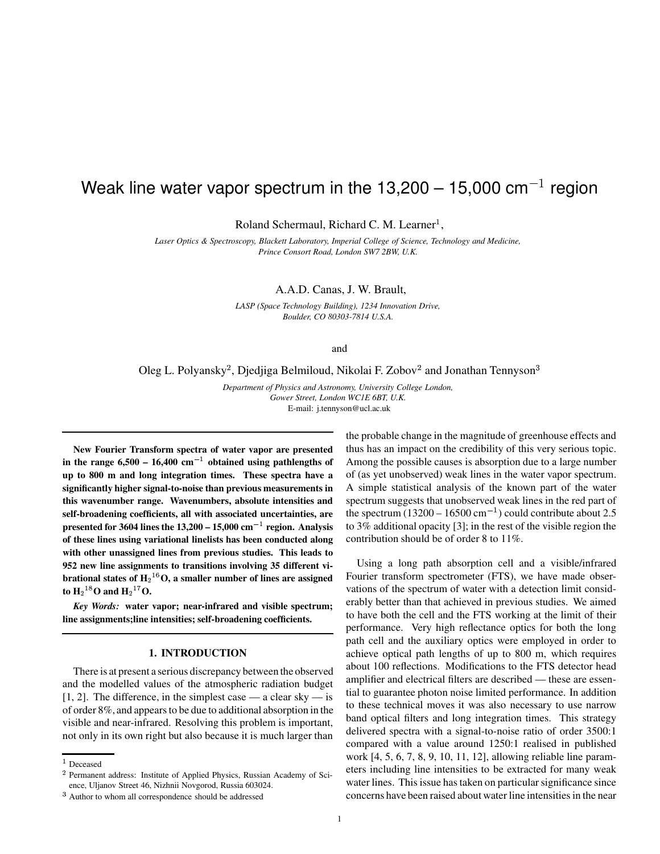# Weak line water vapor spectrum in the 13,200 – 15,000 cm $^{-1}$  region

Roland Schermaul, Richard C. M. Learner<sup>1</sup>,

*Laser Optics & Spectroscopy, Blackett Laboratory, Imperial College of Science, Technology and Medicine, Prince Consort Road, London SW7 2BW, U.K.*

A.A.D. Canas, J. W. Brault,

*LASP (Space Technology Building), 1234 Innovation Drive, Boulder, CO 80303-7814 U.S.A.*

and

Oleg L. Polyansky<sup>2</sup>, Djedjiga Belmiloud, Nikolai F. Zobov<sup>2</sup> and Jonathan Tennyson<sup>3</sup>

*Department of Physics and Astronomy, University College London, Gower Street, London WC1E 6BT, U.K.* E-mail: j.tennyson@ucl.ac.uk

**New Fourier Transform spectra of water vapor are presented in** the range  $6,500 - 16,400$   $cm^{-1}$  obtained using pathlengths of **up to 800 m and long integration times. These spectra have a significantly higher signal-to-noise than previous measurements in this wavenumber range. Wavenumbers, absolute intensities and self-broadening coefficients, all with associated uncertainties, are presented** for 3604 lines the  $13,200 - 15,000$  cm<sup>-1</sup> region. Analysis **of these lines using variational linelists has been conducted along with other unassigned lines from previous studies. This leads to 952 new line assignments to transitions involving 35 different vibrational states of H O, asmaller number of lines are assigned** to  $\mathbf{H}_2$ <sup>18</sup>O and  $\mathbf{H}_2$ <sup>17</sup>O.

*Key Words:* **water vapor; near-infrared and visible spectrum; line assignments;line intensities; self-broadening coefficients.**

# **1. INTRODUCTION**

There is at present a serious discrepancy between the observed and the modelled values of the atmospheric radiation budget  $[1, 2]$ . The difference, in the simplest case — a clear sky — is of order 8%, and appearsto be due to additional absorption in the visible and near-infrared. Resolving this problem is important, not only in its own right but also because it is much larger than

the probable change in the magnitude of greenhouse effects and thus has an impact on the credibility of this very serious topic. Among the possible causes is absorption due to a large number of (as yet unobserved) weak lines in the water vapor spectrum. A simple statistical analysis of the known part of the water spectrum suggests that unobserved weak lines in the red part of the spectrum  $(13200 - 16500 \text{ cm}^{-1})$  could contribute about 2.5 to 3% additional opacity [3]; in the rest of the visible region the contribution should be of order 8 to 11%.

Using a long path absorption cell and a visible/infrared Fourier transform spectrometer (FTS), we have made observations of the spectrum of water with a detection limit considerably better than that achieved in previous studies. We aimed to have both the cell and the FTS working at the limit of their performance. Very high reflectance optics for both the long path cell and the auxiliary optics were employed in order to achieve optical path lengths of up to 800 m, which requires about 100 reflections. Modifications to the FTS detector head amplifier and electrical filters are described — these are essential to guarantee photon noise limited performance. In addition to these technical moves it was also necessary to use narrow band optical filters and long integration times. This strategy delivered spectra with a signal-to-noise ratio of order 3500:1 compared with a value around 1250:1 realised in published work [4, 5, 6, 7, 8, 9, 10, 11, 12], allowing reliable line parameters including line intensities to be extracted for many weak water lines. This issue has taken on particular significance since concerns have been raised about water line intensities in the near

 $1$  Deceased

<sup>&</sup>lt;sup>2</sup> Permanent address: Institute of Applied Physics, Russian Academy of Science, Uljanov Street 46, Nizhnii Novgorod, Russia 603024.

<sup>&</sup>lt;sup>3</sup> Author to whom all correspondence should be addressed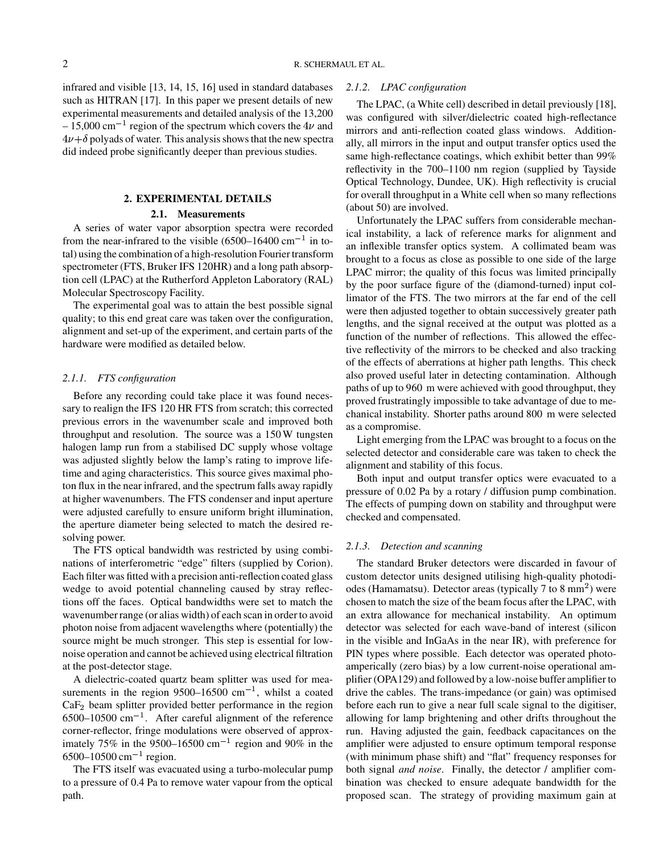infrared and visible [13, 14, 15, 16] used in standard databases such as HITRAN [17]. In this paper we present details of new experimental measurements and detailed analysis of the 13,200  $-15,000 \text{ cm}^{-1}$  region of the spectrum which covers the 4 $\nu$  and  $\frac{1}{2}$  min  $4\nu + \delta$  polyads of water. This analysis shows that the new spectra did indeed probe significantly deeper than previous studies.

# **2. EXPERIMENTAL DETAILS**

# **2.1. Measurements**

A series of water vapor absorption spectra were recorded from the near-infrared to the visible  $(6500-16400 \text{ cm}^{-1})$  in total) using the combination of a high-resolution Fourier transform spectrometer (FTS, Bruker IFS 120HR) and a long path absorption cell (LPAC) at the Rutherford Appleton Laboratory (RAL) Molecular Spectroscopy Facility.

The experimental goal was to attain the best possible signal quality; to this end great care was taken over the configuration, alignment and set-up of the experiment, and certain parts of the hardware were modified as detailed below.

## *2.1.1. FTS configuration*

Before any recording could take place it was found necessary to realign the IFS 120 HR FTS from scratch; this corrected previous errors in the wavenumber scale and improved both throughput and resolution. The source was a 150W tungsten halogen lamp run from a stabilised DC supply whose voltage was adjusted slightly below the lamp's rating to improve lifetime and aging characteristics. This source gives maximal photon flux in the near infrared, and the spectrum falls away rapidly at higher wavenumbers. The FTS condenser and input aperture were adjusted carefully to ensure uniform bright illumination, the aperture diameter being selected to match the desired resolving power.

The FTS optical bandwidth was restricted by using combinations of interferometric "edge" filters (supplied by Corion). Each filter was fitted with a precision anti-reflection coated glass wedge to avoid potential channeling caused by stray reflections off the faces. Optical bandwidths were set to match the wavenumber range (or alias width) of each scan in order to avoid photon noise from adjacent wavelengths where (potentially) the source might be much stronger. This step is essential for lownoise operation and cannot be achieved using electrical filtration at the post-detector stage.

A dielectric-coated quartz beam splitter was used for measurements in the region  $9500-16500$  cm<sup>-1</sup>, whilst a coated  $CaF<sub>2</sub>$  beam splitter provided better performance in the region  $6500-10500$  cm<sup>-1</sup>. After careful alignment of the reference corner-reflector, fringe modulations were observed of approximately 75% in the 9500–16500 cm<sup>-1</sup> region and 90% in the  $6500 - 10500$  cm<sup>-1</sup> region.

The FTS itself was evacuated using a turbo-molecular pump to a pressure of 0.4 Pa to remove water vapour from the optical path.

## *2.1.2. LPAC configuration*

The LPAC, (a White cell) described in detail previously [18], was configured with silver/dielectric coated high-reflectance mirrors and anti-reflection coated glass windows. Additionally, all mirrors in the input and output transfer optics used the same high-reflectance coatings, which exhibit better than 99% reflectivity in the 700–1100 nm region (supplied by Tayside Optical Technology, Dundee, UK). High reflectivity is crucial for overall throughput in a White cell when so many reflections (about 50) are involved.

Unfortunately the LPAC suffers from considerable mechanical instability, a lack of reference marks for alignment and an inflexible transfer optics system. A collimated beam was brought to a focus as close as possible to one side of the large LPAC mirror; the quality of this focus was limited principally by the poor surface figure of the (diamond-turned) input collimator of the FTS. The two mirrors at the far end of the cell were then adjusted together to obtain successively greater path lengths, and the signal received at the output was plotted as a function of the number of reflections. This allowed the effective reflectivity of the mirrors to be checked and also tracking of the effects of aberrations at higher path lengths. This check also proved useful later in detecting contamination. Although paths of up to 960 m were achieved with good throughput, they proved frustratingly impossible to take advantage of due to mechanical instability. Shorter paths around 800 m were selected as a compromise.

Light emerging from the LPAC was brought to a focus on the selected detector and considerable care was taken to check the alignment and stability of this focus.

Both input and output transfer optics were evacuated to a pressure of 0.02 Pa by a rotary / diffusion pump combination. The effects of pumping down on stability and throughput were checked and compensated.

# *2.1.3. Detection and scanning*

The standard Bruker detectors were discarded in favour of custom detector units designed utilising high-quality photodiodes (Hamamatsu). Detector areas (typically  $7$  to  $8 \text{ mm}^2$ ) were chosen to match the size of the beam focus after the LPAC, with an extra allowance for mechanical instability. An optimum detector was selected for each wave-band of interest (silicon in the visible and InGaAs in the near IR), with preference for PIN types where possible. Each detector was operated photoamperically (zero bias) by a low current-noise operational amplifier (OPA129) and followed by a low-noise buffer amplifier to drive the cables. The trans-impedance (or gain) was optimised before each run to give a near full scale signal to the digitiser, allowing for lamp brightening and other drifts throughout the run. Having adjusted the gain, feedback capacitances on the amplifier were adjusted to ensure optimum temporal response (with minimum phase shift) and "flat" frequency responses for both signal *and noise*. Finally, the detector / amplifier combination was checked to ensure adequate bandwidth for the proposed scan. The strategy of providing maximum gain at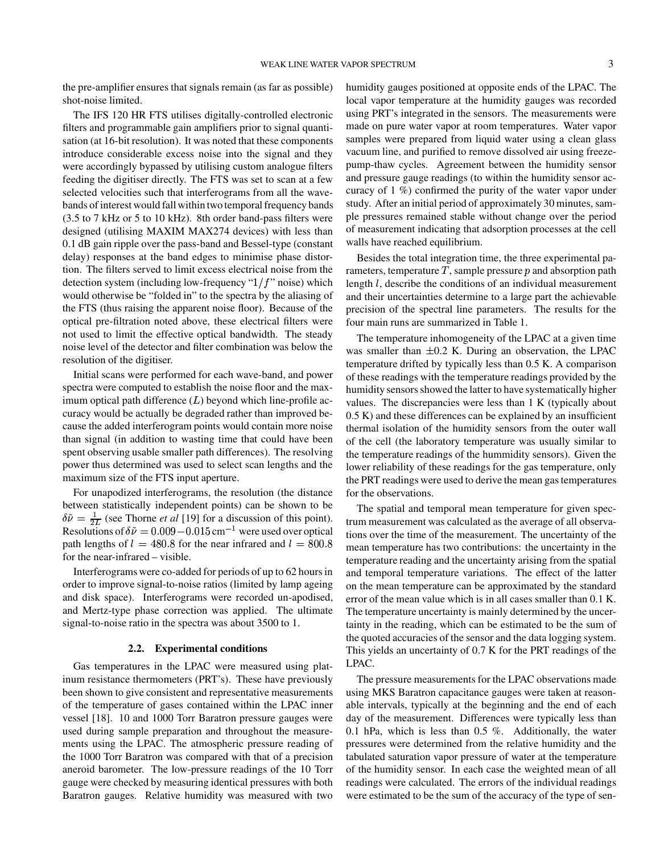the pre-amplifier ensures that signals remain (as far as possible) shot-noise limited.

The IFS 120 HR FTS utilises digitally-controlled electronic filters and programmable gain amplifiers prior to signal quantisation (at 16-bit resolution). It was noted that these components introduce considerable excess noise into the signal and they were accordingly bypassed by utilising custom analogue filters feeding the digitiser directly. The FTS was set to scan at a few selected velocities such that interferograms from all the wavebands of interest would fall within two temporal frequency bands (3.5 to 7 kHz or 5 to 10 kHz). 8th order band-pass filters were designed (utilising MAXIM MAX274 devices) with less than 0.1 dB gain ripple over the pass-band and Bessel-type (constant delay) responses at the band edges to minimise phase distortion. The filters served to limit excess electrical noise from the detection system (including low-frequency " $1/f$ " noise) which would otherwise be "folded in" to the spectra by the aliasing of the FTS (thus raising the apparent noise floor). Because of the optical pre-filtration noted above, these electrical filters were not used to limit the effective optical bandwidth. The steady noise level of the detector and filter combination was below the resolution of the digitiser.

Initial scans were performed for each wave-band, and power spectra were computed to establish the noise floor and the maximum optical path difference  $(L)$  beyond which line-profile accuracy would be actually be degraded rather than improved because the added interferogram points would contain more noise than signal (in addition to wasting time that could have been spent observing usable smaller path differences). The resolving power thus determined was used to select scan lengths and the maximum size of the FTS input aperture.

For unapodized interferograms, the resolution (the distance between statistically independent points) can be shown to be  $\delta \tilde{\nu} = \frac{1}{2L}$  (see Thorne *et al* [19] for a discussion of this point). Resolutions of  $\delta \tilde{\nu} = 0.009 - 0.015$  cm<sup>-1</sup> were used over optical path lengths of  $l = 480.8$  for the near infrared and  $l = 800.8$ for the near-infrared – visible.

Interferograms were co-added for periods of up to 62 hoursin order to improve signal-to-noise ratios (limited by lamp ageing and disk space). Interferograms were recorded un-apodised, and Mertz-type phase correction was applied. The ultimate signal-to-noise ratio in the spectra was about 3500 to 1.

#### **2.2. Experimental conditions**

Gas temperatures in the LPAC were measured using platinum resistance thermometers (PRT's). These have previously been shown to give consistent and representative measurements of the temperature of gases contained within the LPAC inner vessel [18]. 10 and 1000 Torr Baratron pressure gauges were used during sample preparation and throughout the measurements using the LPAC. The atmospheric pressure reading of the 1000 Torr Baratron was compared with that of a precision aneroid barometer. The low-pressure readings of the 10 Torr gauge were checked by measuring identical pressures with both Baratron gauges. Relative humidity was measured with two

humidity gauges positioned at opposite ends of the LPAC. The local vapor temperature at the humidity gauges was recorded using PRT's integrated in the sensors. The measurements were made on pure water vapor at room temperatures. Water vapor samples were prepared from liquid water using a clean glass vacuum line, and purified to remove dissolved air using freezepump-thaw cycles. Agreement between the humidity sensor and pressure gauge readings (to within the humidity sensor accuracy of 1 %) confirmed the purity of the water vapor under study. After an initial period of approximately 30 minutes, sample pressures remained stable without change over the period of measurement indicating that adsorption processes at the cell walls have reached equilibrium.

Besides the total integration time, the three experimental parameters, temperature  $T$ , sample pressure  $p$  and absorption path length  $l$ , describe the conditions of an individual measurement and their uncertainties determine to a large part the achievable precision of the spectral line parameters. The results for the four main runs are summarized in Table 1.

The temperature inhomogeneity of the LPAC at a given time was smaller than  $\pm 0.2$  K. During an observation, the LPAC temperature drifted by typically less than 0.5 K. A comparison of these readings with the temperature readings provided by the humidity sensors showed the latter to have systematically higher values. The discrepancies were less than 1 K (typically about 0.5 K) and these differences can be explained by an insufficient thermal isolation of the humidity sensors from the outer wall of the cell (the laboratory temperature was usually similar to the temperature readings of the hummidity sensors). Given the lower reliability of these readings for the gas temperature, only the PRT readings were used to derive the mean gastemperatures for the observations.

The spatial and temporal mean temperature for given spectrum measurement was calculated as the average of all observations over the time of the measurement. The uncertainty of the mean temperature has two contributions: the uncertainty in the temperature reading and the uncertainty arising from the spatial and temporal temperature variations. The effect of the latter on the mean temperature can be approximated by the standard error of the mean value which is in all cases smaller than 0.1 K. The temperature uncertainty is mainly determined by the uncertainty in the reading, which can be estimated to be the sum of the quoted accuracies of the sensor and the data logging system. This yields an uncertainty of 0.7 K for the PRT readings of the LPAC.

The pressure measurements for the LPAC observations made using MKS Baratron capacitance gauges were taken at reasonable intervals, typically at the beginning and the end of each day of the measurement. Differences were typically less than 0.1 hPa, which is less than 0.5 %. Additionally, the water pressures were determined from the relative humidity and the tabulated saturation vapor pressure of water at the temperature of the humidity sensor. In each case the weighted mean of all readings were calculated. The errors of the individual readings were estimated to be the sum of the accuracy of the type of sen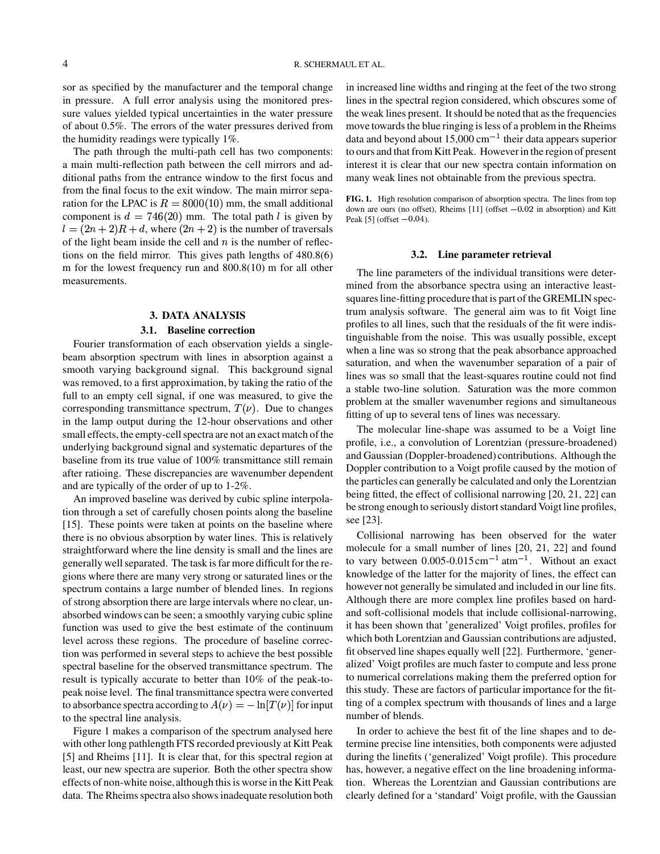sor as specified by the manufacturer and the temporal change in pressure. A full error analysis using the monitored pressure values yielded typical uncertainties in the water pressure of about 0.5%. The errors of the water pressures derived from the humidity readings were typically 1%.

The path through the multi-path cell has two components: a main multi-reflection path between the cell mirrors and additional paths from the entrance window to the first focus and from the final focus to the exit window. The main mirror separation for the LPAC is  $R = 8000(10)$  mm, the small additional component is  $d = 746(20)$  mm. The total path l is given by  $l=(2n+2)R+d$ , where  $(2n+2)$  is the number of traversals of the light beam inside the cell and  $n$  is the number of reflections on the field mirror. This gives path lengths of 480.8(6) m for the lowest frequency run and 800.8(10) m for all other measurements.

## **3. DATA ANALYSIS**

#### **3.1. Baseline correction**

Fourier transformation of each observation yields a singlebeam absorption spectrum with lines in absorption against a smooth varying background signal. This background signal was removed, to a first approximation, by taking the ratio of the full to an empty cell signal, if one was measured, to give the corresponding transmittance spectrum,  $T(\nu)$ . Due to changes in the lamp output during the 12-hour observations and other small effects, the empty-cell spectra are not an exact match of the underlying background signal and systematic departures of the baseline from its true value of 100% transmittance still remain after ratioing. These discrepancies are wavenumber dependent and are typically of the order of up to 1-2%.

An improved baseline was derived by cubic spline interpolation through a set of carefully chosen points along the baseline [15]. These points were taken at points on the baseline where there is no obvious absorption by water lines. This is relatively straightforward where the line density is small and the lines are generally well separated. The task is far more difficult for the regions where there are many very strong or saturated lines or the spectrum contains a large number of blended lines. In regions of strong absorption there are large intervals where no clear, unabsorbed windows can be seen; a smoothly varying cubic spline function was used to give the best estimate of the continuum level across these regions. The procedure of baseline correction was performed in several steps to achieve the best possible spectral baseline for the observed transmittance spectrum. The result is typically accurate to better than 10% of the peak-topeak noise level. The final transmittance spectra were converted to absorbance spectra according to  $A(\nu)=-\ln[T(\nu)]$  for input to the spectral line analysis.

Figure 1 makes a comparison of the spectrum analysed here with other long pathlength FTS recorded previously at Kitt Peak [5] and Rheims [11]. It is clear that, for this spectral region at least, our new spectra are superior. Both the other spectra show effects of non-white noise, although this is worse in the Kitt Peak data. The Rheims spectra also shows inadequate resolution both

in increased line widths and ringing at the feet of the two strong lines in the spectral region considered, which obscures some of the weak lines present. It should be noted that as the frequencies move towards the blue ringing is less of a problem in the Rheims data and beyond about  $15,000 \text{ cm}^{-1}$  their data appears superior to ours and that fromKitt Peak. Howeverin the region of present interest it is clear that our new spectra contain information on many weak lines not obtainable from the previous spectra.

**FIG. 1.** High resolution comparison of absorption spectra. The lines from top down are ours (no offset), Rheims [11] (offset  $-0.02$  in absorption) and Kitt Peak  $[5]$  (offset  $-0.04$ ).

### **3.2. Line parameter retrieval**

The line parameters of the individual transitions were determined from the absorbance spectra using an interactive leastsquares line-fitting procedure that is part of the GREMLIN spectrum analysis software. The general aim was to fit Voigt line profiles to all lines, such that the residuals of the fit were indistinguishable from the noise. This was usually possible, except when a line was so strong that the peak absorbance approached saturation, and when the wavenumber separation of a pair of lines was so small that the least-squares routine could not find a stable two-line solution. Saturation was the more common problem at the smaller wavenumber regions and simultaneous fitting of up to several tens of lines was necessary.

The molecular line-shape was assumed to be a Voigt line profile, i.e., a convolution of Lorentzian (pressure-broadened) and Gaussian (Doppler-broadened) contributions. Although the Doppler contribution to a Voigt profile caused by the motion of the particles can generally be calculated and only the Lorentzian being fitted, the effect of collisional narrowing [20, 21, 22] can be strong enough to seriously distort standard Voigt line profiles, see [23].

Collisional narrowing has been observed for the water molecule for a small number of lines [20, 21, 22] and found to vary between  $0.005$ - $0.015$  cm<sup>-1</sup> atm<sup>-1</sup>. Without an exact knowledge of the latter for the majority of lines, the effect can however not generally be simulated and included in our line fits. Although there are more complex line profiles based on hardand soft-collisional models that include collisional-narrowing, it has been shown that 'generalized' Voigt profiles, profiles for which both Lorentzian and Gaussian contributions are adjusted, fit observed line shapes equally well [22]. Furthermore, 'generalized' Voigt profiles are much faster to compute and less prone to numerical correlations making them the preferred option for this study. These are factors of particular importance for the fitting of a complex spectrum with thousands of lines and a large number of blends.

In order to achieve the best fit of the line shapes and to determine precise line intensities, both components were adjusted during the linefits ('generalized' Voigt profile). This procedure has, however, a negative effect on the line broadening information. Whereas the Lorentzian and Gaussian contributions are clearly defined for a 'standard' Voigt profile, with the Gaussian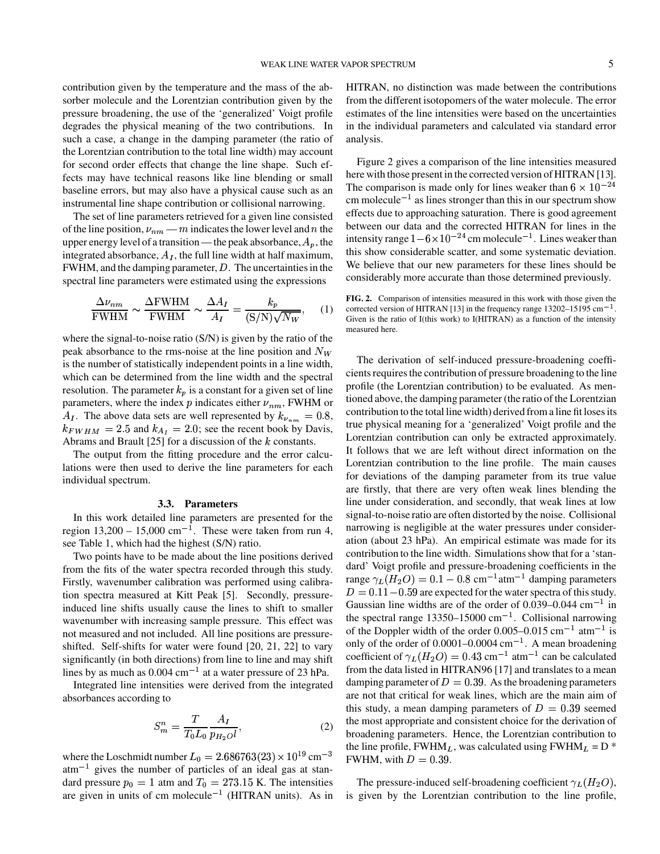contribution given by the temperature and the mass of the absorber molecule and the Lorentzian contribution given by the pressure broadening, the use of the 'generalized' Voigt profile degrades the physical meaning of the two contributions. In such a case, a change in the damping parameter (the ratio of the Lorentzian contribution to the total line width) may account for second order effects that change the line shape. Such effects may have technical reasons like line blending or small baseline errors, but may also have a physical cause such as an instrumental line shape contribution or collisional narrowing.

The set of line parameters retrieved for a given line consisted of the line position,  $\nu_{nm}$  —  $m$  indicates the lower level and  $n$  the upper energy level of a transition — the peak absorbance,  $A_p$ , the integrated absorbance,  $A_I$ , the full line width at half maximum, FWHM, and the damping parameter,  $D$ . The uncertainties in the spectral line parameters were estimated using the expressions

$$
\frac{\Delta \nu_{nm}}{\text{FWHM}} \sim \frac{\Delta \text{FWHM}}{\text{FWHM}} \sim \frac{\Delta A_I}{A_I} = \frac{k_p}{(\text{S/N})\sqrt{N_W}}, \quad (1)
$$

where the signal-to-noise ratio (S/N) is given by the ratio of the peak absorbance to the rms-noise at the line position and  $N_W$ is the number of statistically independent points in a line width, which can be determined from the line width and the spectral resolution. The parameter  $k_p$  is a constant for a given set of line parameters, where the index p indicates either  $\nu_{nm}$ , FWHM or  $A_I$ . The above data sets are well represented by  $k_{\nu_{nm}} = 0.8$ ,  $k_{FWHM} = 2.5$  and  $k_{A<sub>I</sub>} = 2.0$ ; see the recent book by Davis, Abrams and Brault [25] for a discussion of the  $k$  constants.

The output from the fitting procedure and the error calculations were then used to derive the line parameters for each individual spectrum.

## **3.3. Parameters**

In this work detailed line parameters are presented for the region  $13,200 - 15,000$  cm<sup>-1</sup>. These were taken from run 4, see Table 1, which had the highest (S/N) ratio.

Two points have to be made about the line positions derived from the fits of the water spectra recorded through this study. Firstly, wavenumber calibration was performed using calibration spectra measured at Kitt Peak [5]. Secondly, pressureinduced line shifts usually cause the lines to shift to smaller wavenumber with increasing sample pressure. This effect was not measured and not included. All line positions are pressureshifted. Self-shifts for water were found [20, 21, 22] to vary significantly (in both directions) from line to line and may shift lines by as much as  $0.004 \text{ cm}^{-1}$  at a water pressure of 23 hPa.

Integrated line intensities were derived from the integrated absorbances according to

$$
S_m^n = \frac{T}{T_0 L_0} \frac{A_I}{p_{H_2 O} l},\tag{2}
$$

where the Loschmidt number  $L_0 = 2.686763(23) \times 10^{19} \text{ cm}^{-3}$  FW  $atm^{-1}$  gives the number of particles of an ideal gas at standard pressure  $p_0 = 1$  atm and  $T_0 = 273.15$  K. The intensities are given in units of cm molecule<sup> $-1$ </sup> (HITRAN units). As in

HITRAN, no distinction was made between the contributions from the different isotopomers of the water molecule. The error estimates of the line intensities were based on the uncertainties in the individual parameters and calculated via standard error analysis.

Figure 2 gives a comparison of the line intensities measured here with those present in the corrected version of HITRAN [13]. The comparison is made only for lines weaker than  $6 \times 10^{-24}$ cm molecule<sup> $-1$ </sup> as lines stronger than this in our spectrum show effects due to approaching saturation. There is good agreement between our data and the corrected HITRAN for lines in the intensity range  $1-6 \times 10^{-24}$  cm molecule<sup>-1</sup>. Lines weaker than this show considerable scatter, and some systematic deviation. We believe that our new parameters for these lines should be considerably more accurate than those determined previously.

**FIG. 2.** Comparison of intensities measured in this work with those given the corrected version of HITRAN [13] in the frequency range  $13202-15195$  cm<sup>-1</sup>. Given is the ratio of I(this work) to I(HITRAN) as a function of the intensity measured here.

The derivation of self-induced pressure-broadening coefficients requires the contribution of pressure broadening to the line profile (the Lorentzian contribution) to be evaluated. As mentioned above, the damping parameter(the ratio of the Lorentzian contribution to the total line width) derived froma line fit losesits true physical meaning for a 'generalized' Voigt profile and the Lorentzian contribution can only be extracted approximately. It follows that we are left without direct information on the Lorentzian contribution to the line profile. The main causes for deviations of the damping parameter from its true value are firstly, that there are very often weak lines blending the line under consideration, and secondly, that weak lines at low signal-to-noise ratio are often distorted by the noise. Collisional narrowing is negligible at the water pressures under consideration (about 23 hPa). An empirical estimate was made for its contribution to the line width. Simulationsshow that for a 'standard' Voigt profile and pressure-broadening coefficients in the range  $\gamma_L(H_2O) = 0.1 - 0.8 \text{ cm}^{-1} \text{atm}^{-1}$  damping parameters  $D = 0.11 - 0.59$  are expected for the water spectra of this study. Gaussian line widths are of the order of  $0.039 - 0.044$  cm<sup>-1</sup> in the spectral range  $13350-15000$  cm<sup>-1</sup>. Collisional narrowing of the Doppler width of the order  $0.005-0.015$  cm<sup>-1</sup> atm<sup>-1</sup> is only of the order of  $0.0001 - 0.0004$  cm<sup>-1</sup>. A mean broadening coefficient of  $\gamma_L(H_2O) = 0.43$  cm<sup>-1</sup> atm<sup>-1</sup> can be calculated from the data listed in HITRAN96 [17] and translates to a mean damping parameter of  $D = 0.39$ . As the broadening parameters are not that critical for weak lines, which are the main aim of this study, a mean damping parameters of  $D = 0.39$  seemed the most appropriate and consistent choice for the derivation of broadening parameters. Hence, the Lorentzian contribution to the line profile, FWHM<sub>L</sub>, was calculated using FWHM<sub>L</sub> = D  $*$ FWHM, with  $D = 0.39$ .

The pressure-induced self-broadening coefficient  $\gamma_L(H_2O)$ , is given by the Lorentzian contribution to the line profile,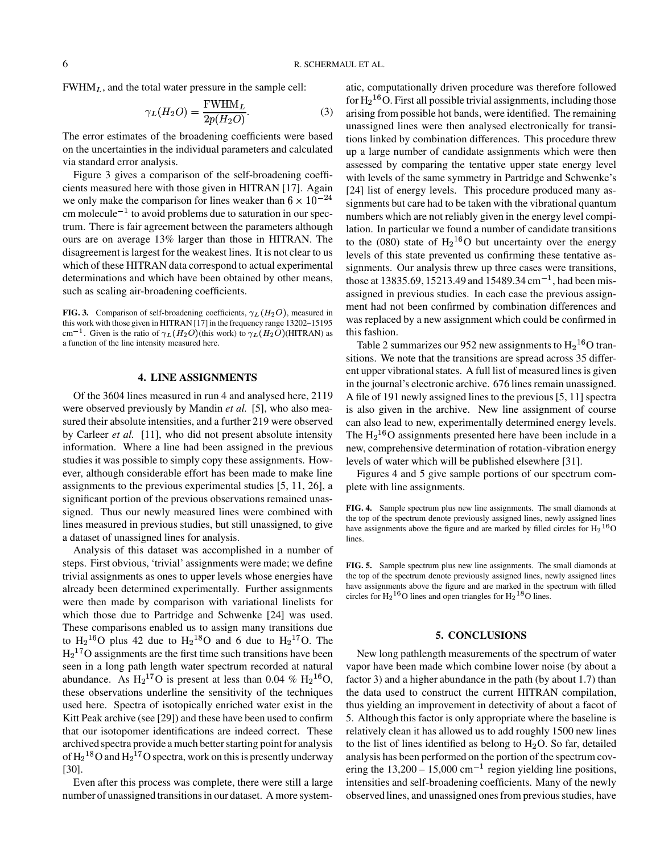$FWHM<sub>L</sub>$ , and the total water pressure in the sample cell:

$$
\gamma_L(H_2O) = \frac{\text{FWHM}_L}{2p(H_2O)}.\tag{3}
$$

The error estimates of the broadening coefficients were based on the uncertainties in the individual parameters and calculated via standard error analysis.

Figure 3 gives a comparison of the self-broadening coefficients measured here with those given in HITRAN [17]. Again we only make the comparison for lines weaker than  $6 \times 10^{-24}$  $\text{cm}$  molecule<sup>-1</sup> to avoid problems due to saturation in our spectrum. There is fair agreement between the parameters although ours are on average 13% larger than those in HITRAN. The disagreement is largest for the weakest lines. It is not clear to us which of these HITRAN data correspond to actual experimental determinations and which have been obtained by other means, such as scaling air-broadening coefficients.

**FIG. 3.** Comparison of self-broadening coefficients,  $\gamma_L(H_2O)$ , measured in this work with those given in HITRAN [17] in the frequency range 13202–15195 cm<sup>-1</sup>. Given is the ratio of  $\gamma_L(H_2O)$ (this work) to  $\gamma_L(H_2O)$ (HITRAN) as a function of the line intensity measured here.

#### **4. LINE ASSIGNMENTS**

Of the 3604 lines measured in run 4 and analysed here, 2119 were observed previously by Mandin *et al.* [5], who also measured their absolute intensities, and a further 219 were observed by Carleer *et al.* [11], who did not present absolute intensity information. Where a line had been assigned in the previous studies it was possible to simply copy these assignments. However, although considerable effort has been made to make line assignments to the previous experimental studies [5, 11, 26], a significant portion of the previous observations remained unassigned. Thus our newly measured lines were combined with lines measured in previous studies, but still unassigned, to give a dataset of unassigned lines for analysis.

Analysis of this dataset was accomplished in a number of steps. First obvious, 'trivial' assignments were made; we define trivial assignments as ones to upper levels whose energies have already been determined experimentally. Further assignments were then made by comparison with variational linelists for which those due to Partridge and Schwenke [24] was used. These comparisons enabled us to assign many transitions due to  $H_2^{16}O$  plus 42 due to  $H_2^{18}O$  and 6 due to  $H_2^{17}O$ . The  $H<sub>2</sub><sup>17</sup>O$  assignments are the first time such transitions have been seen in a long path length water spectrum recorded at natural abundance. As  $H_2^{17}O$  is present at less than 0.04 %  $H_2^{16}O$ , fa these observations underline the sensitivity of the techniques used here. Spectra of isotopically enriched water exist in the Kitt Peak archive (see [29]) and these have been used to confirm that our isotopomer identifications are indeed correct. These archived spectra provide a much better starting point for analysis of  $\rm H_2{}^{18}O$  and  $\rm H_2{}^{17}O$  spectra, work on this is presently underway [30].

Even after this process was complete, there were still a large number of unassigned transitions in our dataset. A more systematic, computationally driven procedure was therefore followed for  $\rm H_2$ <sup>16</sup>O. First all possible trivial assignments, including those arising from possible hot bands, were identified. The remaining unassigned lines were then analysed electronically for transitions linked by combination differences. This procedure threw up a large number of candidate assignments which were then assessed by comparing the tentative upper state energy level with levels of the same symmetry in Partridge and Schwenke's [24] list of energy levels. This procedure produced many assignments but care had to be taken with the vibrational quantum numbers which are not reliably given in the energy level compilation. In particular we found a number of candidate transitions to the (080) state of  $H_2$ <sup>16</sup>O but uncertainty over the energy levels of this state prevented us confirming these tentative assignments. Our analysis threw up three cases were transitions, those at 13835.69, 15213.49 and 15489.34  $\text{cm}^{-1}$ , had been misassigned in previous studies. In each case the previous assignment had not been confirmed by combination differences and was replaced by a new assignment which could be confirmed in this fashion.

Table 2 summarizes our 952 new assignments to  $H_2$ <sup>16</sup>O tran sitions. We note that the transitions are spread across 35 different upper vibrational states. A full list of measured lines is given in the journal's electronic archive. 676 lines remain unassigned. A file of 191 newly assigned lines to the previous[5, 11] spectra is also given in the archive. New line assignment of course can also lead to new, experimentally determined energy levels. The  $\rm H_2^{16}O$  assignments presented here have been include in a new, comprehensive determination of rotation-vibration energy levels of water which will be published elsewhere [31].

Figures 4 and 5 give sample portions of our spectrum complete with line assignments.

**FIG. 5.** Sample spectrum plus new line assignments. The small diamonds at the top of the spectrum denote previously assigned lines, newly assigned lines have assignments above the figure and are marked in the spectrum with filled circles for  $H_2$ <sup>16</sup>O lines and open triangles for  $H_2$ <sup>18</sup>O lines.

# **5. CONCLUSIONS**

New long pathlength measurements of the spectrum of water vapor have been made which combine lower noise (by about a factor 3) and a higher abundance in the path (by about 1.7) than the data used to construct the current HITRAN compilation, thus yielding an improvement in detectivity of about a facot of 5. Although this factor is only appropriate where the baseline is relatively clean it has allowed us to add roughly 1500 new lines to the list of lines identified as belong to  $H_2O$ . So far, detailed analysis has been performed on the portion of the spectrum covering the  $13,200 - 15,000$  cm<sup>-1</sup> region yielding line positions, intensities and self-broadening coefficients. Many of the newly observed lines, and unassigned ones from previous studies, have

**FIG. 4.** Sample spectrum plus new line assignments. The small diamonds at the top of the spectrum denote previously assigned lines, newly assigned lines have assignments above the figure and are marked by filled circles for  $H_2{}^{16}O$ lines.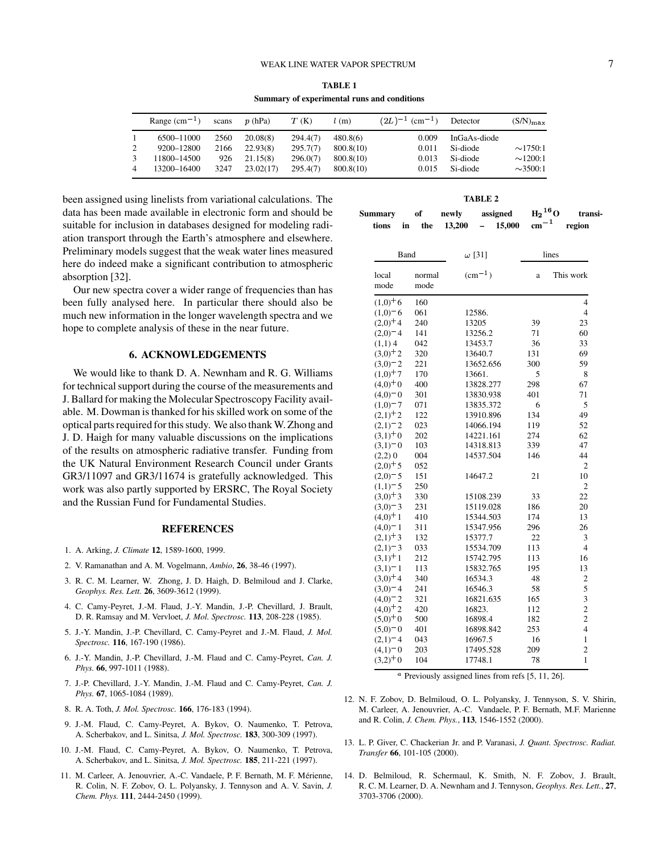## WEAK LINE WATER VAPOR SPECTRUM 7

|   | Summary or experimental runs and conditions |       |           |          |           |                                 |              |                      |
|---|---------------------------------------------|-------|-----------|----------|-----------|---------------------------------|--------------|----------------------|
|   | Range $(cm-1)$                              | scans | p(hPa)    | T(K)     | l(m)      | $(2L)^{-1}$ (cm <sup>-1</sup> ) | Detector     | $(S/N)_{\text{max}}$ |
|   | 6500-11000                                  | 2560  | 20.08(8)  | 294.4(7) | 480.8(6)  | 0.009                           | InGaAs-diode |                      |
| 2 | 9200-12800                                  | 2166  | 22.93(8)  | 295.7(7) | 800.8(10) | 0.011                           | Si-diode     | $\sim$ 1750:1        |
|   | 11800-14500                                 | 926   | 21.15(8)  | 296.0(7) | 800.8(10) | 0.013                           | Si-diode     | $\sim$ 1200:1        |
| 4 | 13200-16400                                 | 3247  | 23.02(17) | 295.4(7) | 800.8(10) | 0.015                           | Si-diode     | $\sim$ 3500:1        |

**TABLE 1 Summary of experimental runs and conditions**

been assigned using linelists from variational calculations. The data has been made available in electronic form and should be suitable for inclusion in databases designed for modeling radiation transport through the Earth's atmosphere and elsewhere. Preliminary models suggest that the weak water lines measured here do indeed make a significant contribution to atmospheric absorption [32].

Our new spectra cover a wider range of frequencies than has been fully analysed here. In particular there should also be much new information in the longer wavelength spectra and we hope to complete analysis of these in the near future.

# **6. ACKNOWLEDGEMENTS**

We would like to thank D. A. Newnham and R. G. Williams for technical support during the course of the measurements and J. Ballard for making the Molecular Spectroscopy Facility available. M. Dowman is thanked for his skilled work on some of the optical parts required for this study. We also thank W. Zhong and J. D. Haigh for many valuable discussions on the implications of the results on atmospheric radiative transfer. Funding from the UK Natural Environment Research Council under Grants GR3/11097 and GR3/11674 is gratefully acknowledged. This work was also partly supported by ERSRC, The Royal Society and the Russian Fund for Fundamental Studies.

#### **REFERENCES**

- 1. A. Arking, *J. Climate* **12**, 1589-1600, 1999.
- 2. V. Ramanathan and A. M. Vogelmann, *Ambio*, **26**, 38-46 (1997).
- 3. R. C. M. Learner, W. Zhong, J. D. Haigh, D. Belmiloud and J. Clarke, *Geophys. Res. Lett.* **26**, 3609-3612 (1999).
- 4. C. Camy-Peyret, J.-M. Flaud, J.-Y. Mandin, J.-P. Chevillard, J. Brault, D. R. Ramsay and M. Vervloet, *J. Mol. Spectrosc.* **113**, 208-228 (1985).
- 5. J.-Y. Mandin, J.-P. Chevillard, C. Camy-Peyret and J.-M. Flaud, *J. Mol. Spectrosc.* **116**, 167-190 (1986).
- 6. J.-Y. Mandin, J.-P. Chevillard, J.-M. Flaud and C. Camy-Peyret, *Can. J. Phys.* **66**, 997-1011 (1988).
- 7. J.-P. Chevillard, J.-Y. Mandin, J.-M. Flaud and C. Camy-Peyret, *Can. J. Phys.* **67**, 1065-1084 (1989).
- 8. R. A. Toth, *J. Mol. Spectrosc.* **166**, 176-183 (1994).
- 9. J.-M. Flaud, C. Camy-Peyret, A. Bykov, O. Naumenko, T. Petrova, A. Scherbakov, and L. Sinitsa, *J. Mol. Spectrosc.* **183**, 300-309 (1997).
- 10. J.-M. Flaud, C. Camy-Peyret, A. Bykov, O. Naumenko, T. Petrova, A. Scherbakov, and L. Sinitsa, *J. Mol. Spectrosc.* **185**, 211-221 (1997).
- 11. M. Carleer, A. Jenouvrier, A.-C. Vandaele, P. F. Bernath, M. F. Merienne, ´ R. Colin, N. F. Zobov, O. L. Polyansky, J. Tennyson and A. V. Savin, *J. Chem. Phys.* **111**, 2444-2450 (1999).

| Summarv | of |  | newly      | assigned |        | $\mathrm{H_2}^{16}\mathrm{O}$ | transi- |
|---------|----|--|------------|----------|--------|-------------------------------|---------|
| tions   | in |  | the 13.200 | $\sim$   | 15,000 | $cm^{-1}$                     | region  |

| Band                   |                | $\omega$ [31]   |     | lines                   |  |  |
|------------------------|----------------|-----------------|-----|-------------------------|--|--|
| local<br>mode          | normal<br>mode | $\rm (cm^{-1})$ | a   | This work               |  |  |
| $(1,0)^{+}6$           | 160            |                 |     | $\overline{4}$          |  |  |
| $(1,0)^{-6}$           | 061            | 12586.          |     | $\overline{4}$          |  |  |
| $(2,0)$ <sup>+4</sup>  | 240            | 13205           | 39  | 23                      |  |  |
| $(2,0)$ <sup>-4</sup>  | 141            | 13256.2         | 71  | 60                      |  |  |
| $(1,1)$ 4              | 042            | 13453.7         | 36  | 33                      |  |  |
| $(3,0)$ <sup>+</sup> 2 | 320            | 13640.7         | 131 | 69                      |  |  |
| $(3,0)^{-}2$           | 221            | 13652.656       | 300 | 59                      |  |  |
| $(1,0)$ <sup>+</sup> 7 | 170            | 13661.          | 5   | 8                       |  |  |
| $(4,0)^{+}0$           | 400            | 13828.277       | 298 | 67                      |  |  |
| $(4,0)^{-1}$           | 301            | 13830.938       | 401 | 71                      |  |  |
| $(1,0)$ <sup>-</sup> 7 | 071            | 13835.372       | 6   | 5                       |  |  |
| $(2,1)^{+2}$           | 122            | 13910.896       | 134 | 49                      |  |  |
| $(2,1)$ <sup>-</sup> 2 | 023            | 14066.194       | 119 | 52                      |  |  |
| $(3,1)^{+}0$           | 202            | 14221.161       | 274 | 62                      |  |  |
| $(3,1)^{-}0$           | 103            | 14318.813       | 339 | 47                      |  |  |
| $(2,2)$ 0              | 004            | 14537.504       | 146 | 44                      |  |  |
| $(2,0)$ <sup>+</sup> 5 | 052            |                 |     | $\overline{c}$          |  |  |
| $(2,0)^{-}5$           | 151            | 14647.2         | 21  | 10                      |  |  |
| $(1,1)^{-}5$           | 250            |                 |     | $\overline{c}$          |  |  |
| $(3,0)$ <sup>+</sup> 3 | 330            | 15108.239       | 33  | 22                      |  |  |
| $(3,0)^{-}3$           | 231            | 15119.028       | 186 | 20                      |  |  |
| $(4,0)$ <sup>+</sup> 1 | 410            | 15344.503       | 174 | 13                      |  |  |
| $(4,0)$ <sup>-1</sup>  | 311            | 15347.956       | 296 | 26                      |  |  |
| $(2,1)^+3$             | 132            | 15377.7         | 22  | 3                       |  |  |
| $(2,1)$ <sup>-</sup> 3 | 033            | 15534.709       | 113 | $\overline{4}$          |  |  |
| $(3,1)$ <sup>+</sup> 1 | 212            | 15742.795       | 113 | 16                      |  |  |
| $(3,1)$ <sup>-1</sup>  | 113            | 15832.765       | 195 | 13                      |  |  |
| $(3,0)$ <sup>+</sup> 4 | 340            | 16534.3         | 48  | $\overline{\mathbf{c}}$ |  |  |
| $(3,0)^{-}4$           | 241            | 16546.3         | 58  | 5                       |  |  |
| $(4,0)$ <sup>-</sup> 2 | 321            | 16821.635       | 165 | 3                       |  |  |
| $(4,0)^{+}2$           | 420            | 16823.          | 112 | $\overline{c}$          |  |  |
| $(5,0)^{+}0$           | 500            | 16898.4         | 182 | $\overline{c}$          |  |  |
| $(5,0)^{-}0$           | 401            | 16898.842       | 253 | $\overline{4}$          |  |  |
| $(2,1)$ <sup>-4</sup>  | 043            | 16967.5         | 16  | $\mathbf{1}$            |  |  |
| $(4,1)^{-}0$           | 203            | 17495.528       | 209 | $\overline{c}$          |  |  |
| $(3.2) + 0$            | 104            | 17748.1         | 78  | $\mathbf{1}$            |  |  |

 $\alpha$  Previously assigned lines from refs [5, 11, 26].

- 12. N. F. Zobov, D. Belmiloud, O. L. Polyansky, J. Tennyson, S. V. Shirin, M. Carleer, A. Jenouvrier, A.-C. Vandaele, P. F. Bernath, M.F. Marienne and R. Colin, *J. Chem. Phys.*, **113**, 1546-1552 (2000).
- 13. L. P. Giver, C. Chackerian Jr. and P. Varanasi, *J. Quant. Spectrosc. Radiat. Transfer* **66**, 101-105 (2000).
- 14. D. Belmiloud, R. Schermaul, K. Smith, N. F. Zobov, J. Brault, R. C. M. Learner, D. A. Newnham and J. Tennyson, *Geophys. Res. Lett.*, **27**, 3703-3706 (2000).